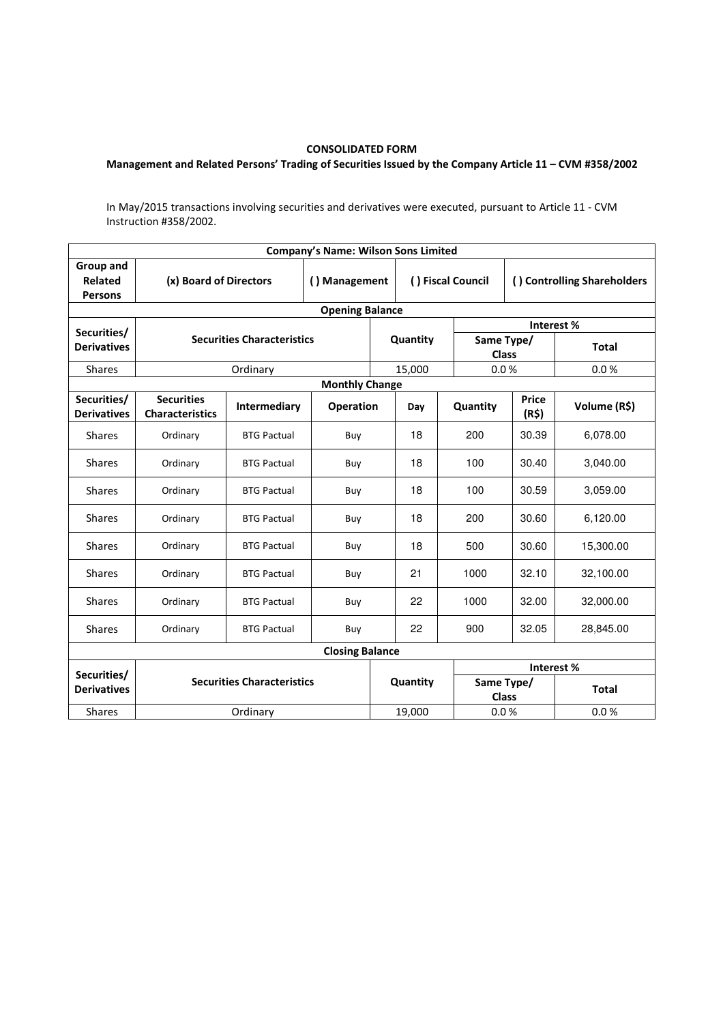## CONSOLIDATED FORM

## Management and Related Persons' Trading of Securities Issued by the Company Article 11 – CVM #358/2002

In May/2015 transactions involving securities and derivatives were executed, pursuant to Article 11 - CVM Instruction #358/2002.

| <b>Company's Name: Wilson Sons Limited</b> |                                             |                    |                        |                   |                            |                             |                       |              |  |  |  |  |  |
|--------------------------------------------|---------------------------------------------|--------------------|------------------------|-------------------|----------------------------|-----------------------------|-----------------------|--------------|--|--|--|--|--|
| Group and<br>Related<br><b>Persons</b>     | (x) Board of Directors                      | () Management      |                        | () Fiscal Council |                            | () Controlling Shareholders |                       |              |  |  |  |  |  |
| <b>Opening Balance</b>                     |                                             |                    |                        |                   |                            |                             |                       |              |  |  |  |  |  |
| Securities/                                | <b>Securities Characteristics</b>           |                    |                        |                   |                            |                             | Interest%             |              |  |  |  |  |  |
| <b>Derivatives</b>                         |                                             |                    | Quantity               |                   | Same Type/<br><b>Class</b> |                             | <b>Total</b>          |              |  |  |  |  |  |
| <b>Shares</b>                              |                                             | Ordinary           |                        | 15,000            | 0.0%                       |                             | 0.0%                  |              |  |  |  |  |  |
| <b>Monthly Change</b>                      |                                             |                    |                        |                   |                            |                             |                       |              |  |  |  |  |  |
| Securities/<br><b>Derivatives</b>          | <b>Securities</b><br><b>Characteristics</b> | Intermediary       | <b>Operation</b>       |                   | Day                        | Quantity                    | <b>Price</b><br>(R\$) | Volume (R\$) |  |  |  |  |  |
| <b>Shares</b>                              | Ordinary                                    | <b>BTG Pactual</b> | Buy                    |                   | 18                         | 200                         | 30.39                 | 6,078.00     |  |  |  |  |  |
| <b>Shares</b>                              | Ordinary                                    | <b>BTG Pactual</b> | Buy                    |                   | 18                         | 100                         | 30.40                 | 3,040.00     |  |  |  |  |  |
| <b>Shares</b>                              | Ordinary                                    | <b>BTG Pactual</b> | Buy                    |                   | 18                         | 100                         | 30.59                 | 3,059.00     |  |  |  |  |  |
| <b>Shares</b>                              | Ordinary                                    | <b>BTG Pactual</b> | Buy                    |                   | 18                         | 200                         | 30.60                 | 6,120.00     |  |  |  |  |  |
| <b>Shares</b>                              | Ordinary                                    | <b>BTG Pactual</b> | Buy                    |                   | 18                         | 500                         | 30.60                 | 15,300.00    |  |  |  |  |  |
| <b>Shares</b>                              | Ordinary                                    | <b>BTG Pactual</b> | Buy                    |                   | 21                         | 1000                        | 32.10                 | 32,100.00    |  |  |  |  |  |
| <b>Shares</b>                              | Ordinary                                    | <b>BTG Pactual</b> | Buy                    |                   | 22                         | 1000                        | 32.00                 | 32,000.00    |  |  |  |  |  |
| <b>Shares</b>                              | Ordinary                                    | <b>BTG Pactual</b> | Buy                    |                   | 22                         | 900                         | 32.05                 | 28,845.00    |  |  |  |  |  |
|                                            |                                             |                    | <b>Closing Balance</b> |                   |                            |                             |                       |              |  |  |  |  |  |
| Securities/                                | <b>Securities Characteristics</b>           |                    |                        |                   |                            |                             | Interest %            |              |  |  |  |  |  |
| <b>Derivatives</b>                         |                                             |                    |                        |                   | Quantity                   | Same Type/<br>Class         |                       | <b>Total</b> |  |  |  |  |  |
| <b>Shares</b>                              |                                             |                    | 19,000                 | 0.0%              |                            | 0.0%                        |                       |              |  |  |  |  |  |